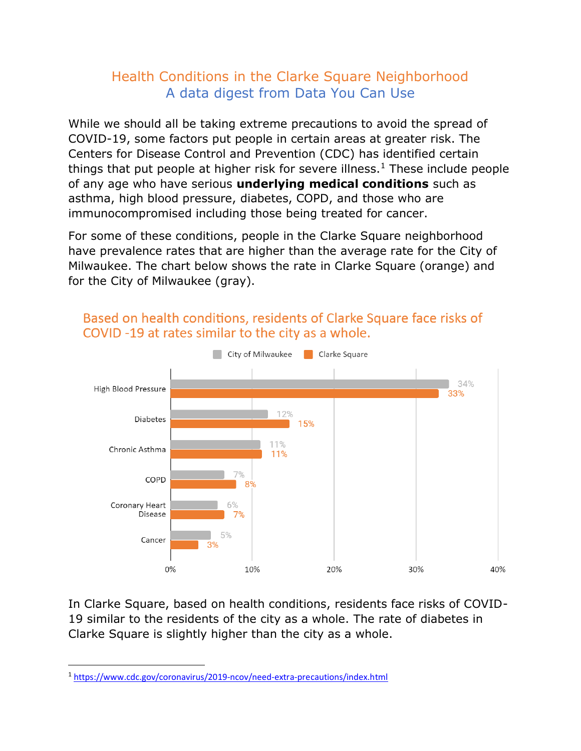## Health Conditions in the Clarke Square Neighborhood A data digest from Data You Can Use

While we should all be taking extreme precautions to avoid the spread of COVID-19, some factors put people in certain areas at greater risk. The Centers for Disease Control and Prevention (CDC) has identified certain things that put people at higher risk for severe illness.<sup>1</sup> These include people of any age who have serious **underlying medical conditions** such as asthma, high blood pressure, diabetes, COPD, and those who are immunocompromised including those being treated for cancer.

For some of these conditions, people in the Clarke Square neighborhood have prevalence rates that are higher than the average rate for the City of Milwaukee. The chart below shows the rate in Clarke Square (orange) and for the City of Milwaukee (gray).



## Based on health conditions, residents of Clarke Square face risks of COVID-19 at rates similar to the city as a whole.

In Clarke Square, based on health conditions, residents face risks of COVID-19 similar to the residents of the city as a whole. The rate of diabetes in Clarke Square is slightly higher than the city as a whole.

<sup>1</sup> <https://www.cdc.gov/coronavirus/2019-ncov/need-extra-precautions/index.html>